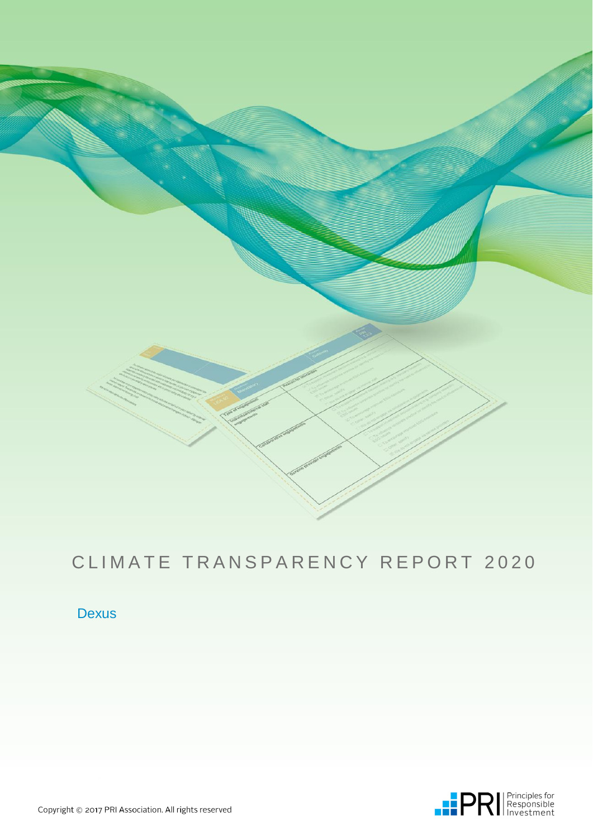

# CLIMATE TRANSPARENCY REPORT 2020

### Dexus

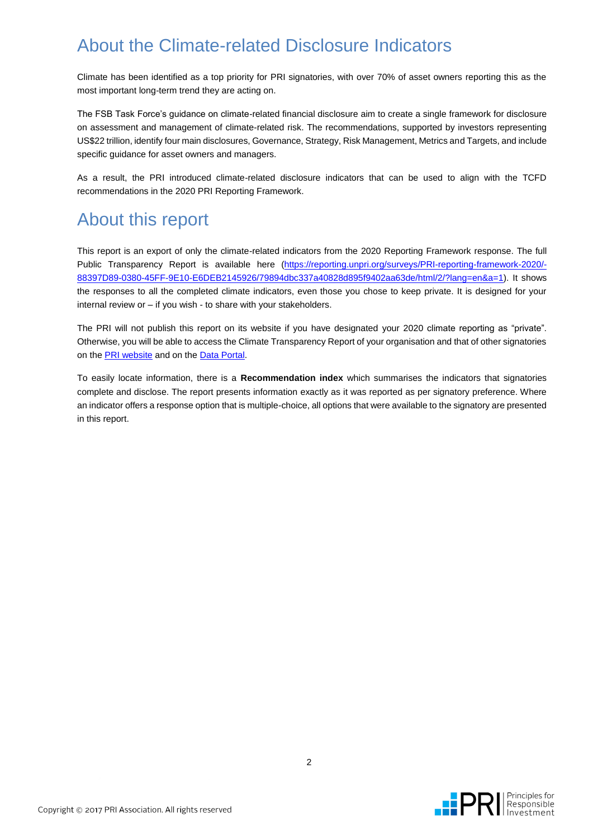## About the Climate-related Disclosure Indicators

Climate has been identified as a top priority for PRI signatories, with over 70% of asset owners reporting this as the most important long-term trend they are acting on.

The FSB Task Force's guidance on climate-related financial disclosure aim to create a single framework for disclosure on assessment and management of climate-related risk. The recommendations, supported by investors representing US\$22 trillion, identify four main disclosures, Governance, Strategy, Risk Management, Metrics and Targets, and include specific guidance for asset owners and managers.

As a result, the PRI introduced climate-related disclosure indicators that can be used to align with the TCFD recommendations in the 2020 PRI Reporting Framework.

## About this report

This report is an export of only the climate-related indicators from the 2020 Reporting Framework response. The full Public Transparency Report is available here [\(https://reporting.unpri.org/surveys/PRI-reporting-framework-2020/-](https://reporting.unpri.org/surveys/PRI-reporting-framework-2020/88397D89-0380-45FF-9E10-E6DEB2145926/79894dbc337a40828d895f9402aa63de/html/2/?lang=en&a=1) [88397D89-0380-45FF-9E10-E6DEB2145926/79894dbc337a40828d895f9402aa63de/html/2/?lang=en&a=1\)](https://reporting.unpri.org/surveys/PRI-reporting-framework-2020/88397D89-0380-45FF-9E10-E6DEB2145926/79894dbc337a40828d895f9402aa63de/html/2/?lang=en&a=1). It shows the responses to all the completed climate indicators, even those you chose to keep private. It is designed for your internal review or – if you wish - to share with your stakeholders.

The PRI will not publish this report on its website if you have designated your 2020 climate reporting as "private". Otherwise, you will be able to access the Climate Transparency Report of your organisation and that of other signatories on the [PRI website](http://www.unpri.org/areas-of-work/reporting-and-assessment/reporting-outputs/) and on th[e Data Portal.](https://dataportal.unpri.org/)

To easily locate information, there is a **Recommendation index** which summarises the indicators that signatories complete and disclose. The report presents information exactly as it was reported as per signatory preference. Where an indicator offers a response option that is multiple-choice, all options that were available to the signatory are presented in this report.

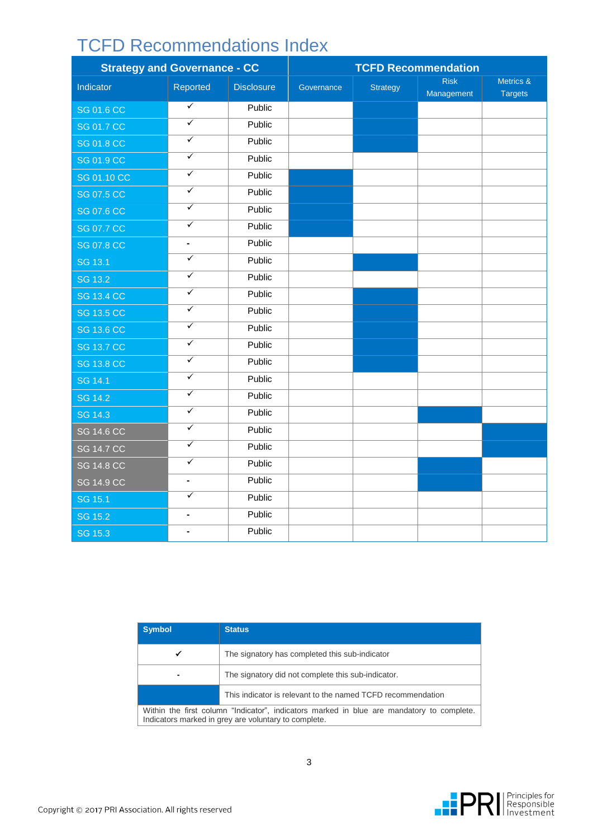## TCFD Recommendations Index

| <b>Strategy and Governance - CC</b> |                         | <b>TCFD Recommendation</b> |            |                 |                           |                             |
|-------------------------------------|-------------------------|----------------------------|------------|-----------------|---------------------------|-----------------------------|
| Indicator                           | Reported                | <b>Disclosure</b>          | Governance | <b>Strategy</b> | <b>Risk</b><br>Management | Metrics &<br><b>Targets</b> |
| <b>SG 01.6 CC</b>                   | $\overline{\checkmark}$ | Public                     |            |                 |                           |                             |
| <b>SG 01.7 CC</b>                   | $\overline{\checkmark}$ | Public                     |            |                 |                           |                             |
| <b>SG 01.8 CC</b>                   | $\overline{\checkmark}$ | Public                     |            |                 |                           |                             |
| <b>SG 01.9 CC</b>                   | $\overline{\checkmark}$ | Public                     |            |                 |                           |                             |
| <b>SG 01.10 CC</b>                  | $\overline{\checkmark}$ | Public                     |            |                 |                           |                             |
| <b>SG 07.5 CC</b>                   | $\overline{\checkmark}$ | Public                     |            |                 |                           |                             |
| <b>SG 07.6 CC</b>                   | $\overline{\checkmark}$ | Public                     |            |                 |                           |                             |
| <b>SG 07.7 CC</b>                   | $\overline{\checkmark}$ | Public                     |            |                 |                           |                             |
| <b>SG 07.8 CC</b>                   | ÷,                      | Public                     |            |                 |                           |                             |
| SG 13.1                             | ✓                       | Public                     |            |                 |                           |                             |
| SG 13.2                             | ✓                       | Public                     |            |                 |                           |                             |
| <b>SG 13.4 CC</b>                   | $\overline{\checkmark}$ | Public                     |            |                 |                           |                             |
| <b>SG 13.5 CC</b>                   | $\overline{\checkmark}$ | Public                     |            |                 |                           |                             |
| <b>SG 13.6 CC</b>                   | $\overline{\checkmark}$ | Public                     |            |                 |                           |                             |
| <b>SG 13.7 CC</b>                   | $\overline{\checkmark}$ | Public                     |            |                 |                           |                             |
| <b>SG 13.8 CC</b>                   | $\overline{\checkmark}$ | Public                     |            |                 |                           |                             |
| SG 14.1                             | $\overline{\checkmark}$ | Public                     |            |                 |                           |                             |
| <b>SG 14.2</b>                      | $\overline{\checkmark}$ | Public                     |            |                 |                           |                             |
| SG 14.3                             | $\overline{\checkmark}$ | Public                     |            |                 |                           |                             |
| <b>SG 14.6 CC</b>                   | $\overline{\checkmark}$ | Public                     |            |                 |                           |                             |
| <b>SG 14.7 CC</b>                   | ✓                       | Public                     |            |                 |                           |                             |
| <b>SG 14.8 CC</b>                   | $\overline{\checkmark}$ | Public                     |            |                 |                           |                             |
| <b>SG 14.9 CC</b>                   | ÷,                      | Public                     |            |                 |                           |                             |
| SG 15.1                             | $\overline{\checkmark}$ | Public                     |            |                 |                           |                             |
| <b>SG 15.2</b>                      | $\blacksquare$          | Public                     |            |                 |                           |                             |
| SG 15.3                             | $\blacksquare$          | Public                     |            |                 |                           |                             |

| <b>Symbol</b> | <b>Status</b>                                                                                                                                     |  |  |  |  |
|---------------|---------------------------------------------------------------------------------------------------------------------------------------------------|--|--|--|--|
| ✔             | The signatory has completed this sub-indicator                                                                                                    |  |  |  |  |
|               | The signatory did not complete this sub-indicator.                                                                                                |  |  |  |  |
|               | This indicator is relevant to the named TCFD recommendation                                                                                       |  |  |  |  |
|               | Within the first column "Indicator", indicators marked in blue are mandatory to complete.<br>Indicators marked in grey are voluntary to complete. |  |  |  |  |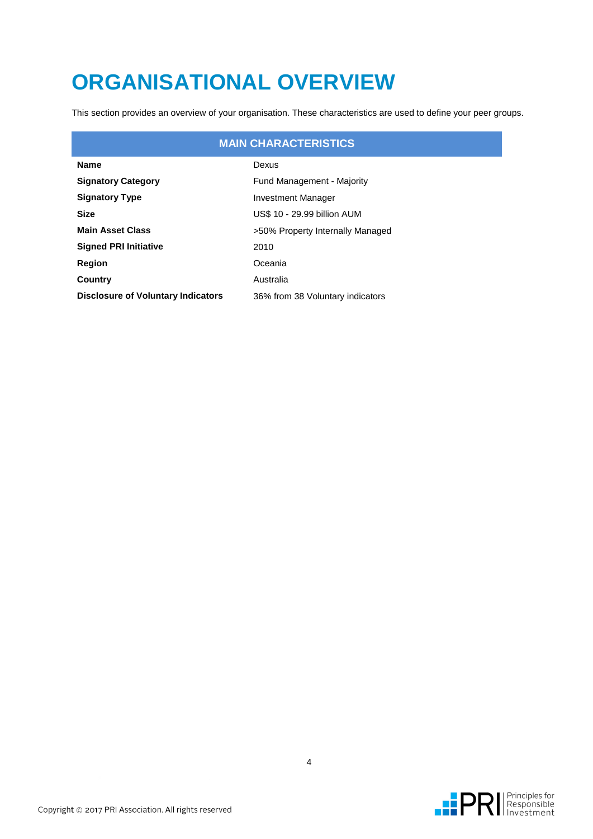# **ORGANISATIONAL OVERVIEW**

This section provides an overview of your organisation. These characteristics are used to define your peer groups.

### **MAIN CHARACTERISTICS**

| <b>Name</b>                               | Dexus                             |
|-------------------------------------------|-----------------------------------|
| <b>Signatory Category</b>                 | <b>Fund Management - Majority</b> |
| <b>Signatory Type</b>                     | Investment Manager                |
| Size                                      | US\$ 10 - 29.99 billion AUM       |
| <b>Main Asset Class</b>                   | >50% Property Internally Managed  |
| <b>Signed PRI Initiative</b>              | 2010                              |
| Region                                    | Oceania                           |
| Country                                   | Australia                         |
| <b>Disclosure of Voluntary Indicators</b> | 36% from 38 Voluntary indicators  |

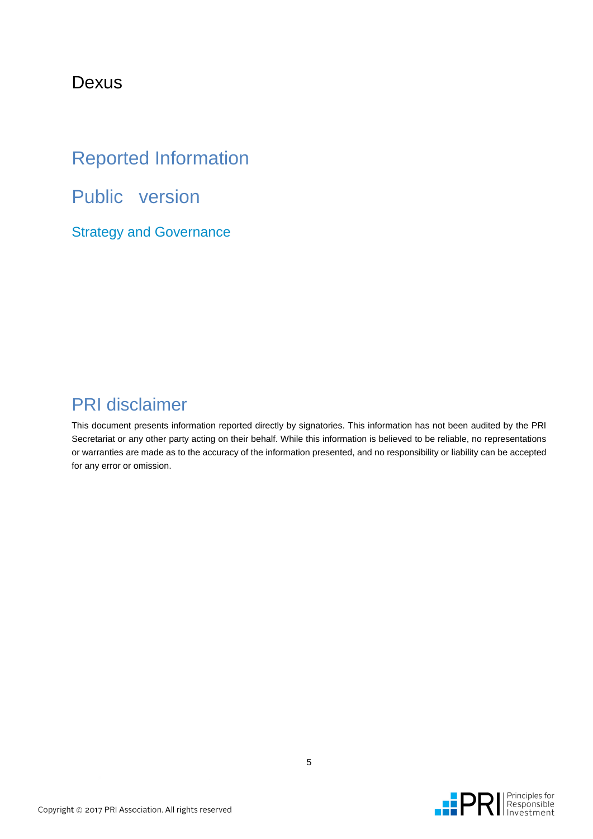### Dexus

## Reported Information

Public version

Strategy and Governance

### PRI disclaimer

This document presents information reported directly by signatories. This information has not been audited by the PRI Secretariat or any other party acting on their behalf. While this information is believed to be reliable, no representations or warranties are made as to the accuracy of the information presented, and no responsibility or liability can be accepted for any error or omission.

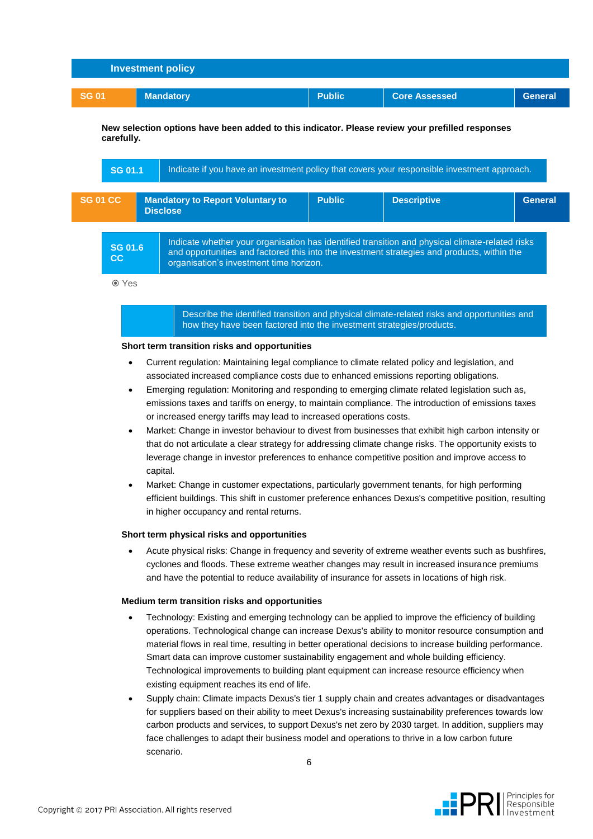| <b>Investment policy</b> |                  |               |                      |                |  |
|--------------------------|------------------|---------------|----------------------|----------------|--|
|                          |                  |               |                      |                |  |
| <b>SG 01</b>             | <b>Mandatory</b> | <b>Public</b> | <b>Core Assessed</b> | <b>General</b> |  |
|                          |                  |               |                      |                |  |

**New selection options have been added to this indicator. Please review your prefilled responses carefully.**

| <b>SG 01.1</b>                                                                                                                                                                                                                                                    | Indicate if you have an investment policy that covers your responsible investment approach. |                                                            |               |                    |                |  |
|-------------------------------------------------------------------------------------------------------------------------------------------------------------------------------------------------------------------------------------------------------------------|---------------------------------------------------------------------------------------------|------------------------------------------------------------|---------------|--------------------|----------------|--|
| <b>SG 01 CC</b>                                                                                                                                                                                                                                                   |                                                                                             | <b>Mandatory to Report Voluntary to</b><br><b>Disclose</b> | <b>Public</b> | <b>Descriptive</b> | <b>General</b> |  |
| Indicate whether your organisation has identified transition and physical climate-related risks<br><b>SG 01.6</b><br>and opportunities and factored this into the investment strategies and products, within the<br>cc<br>organisation's investment time horizon. |                                                                                             |                                                            |               |                    |                |  |

Yes

Describe the identified transition and physical climate-related risks and opportunities and how they have been factored into the investment strategies/products.

#### **Short term transition risks and opportunities**

- Current regulation: Maintaining legal compliance to climate related policy and legislation, and associated increased compliance costs due to enhanced emissions reporting obligations.
- Emerging regulation: Monitoring and responding to emerging climate related legislation such as, emissions taxes and tariffs on energy, to maintain compliance. The introduction of emissions taxes or increased energy tariffs may lead to increased operations costs.
- Market: Change in investor behaviour to divest from businesses that exhibit high carbon intensity or that do not articulate a clear strategy for addressing climate change risks. The opportunity exists to leverage change in investor preferences to enhance competitive position and improve access to capital.
- Market: Change in customer expectations, particularly government tenants, for high performing efficient buildings. This shift in customer preference enhances Dexus's competitive position, resulting in higher occupancy and rental returns.

#### **Short term physical risks and opportunities**

 Acute physical risks: Change in frequency and severity of extreme weather events such as bushfires, cyclones and floods. These extreme weather changes may result in increased insurance premiums and have the potential to reduce availability of insurance for assets in locations of high risk.

#### **Medium term transition risks and opportunities**

- Technology: Existing and emerging technology can be applied to improve the efficiency of building operations. Technological change can increase Dexus's ability to monitor resource consumption and material flows in real time, resulting in better operational decisions to increase building performance. Smart data can improve customer sustainability engagement and whole building efficiency. Technological improvements to building plant equipment can increase resource efficiency when existing equipment reaches its end of life.
- Supply chain: Climate impacts Dexus's tier 1 supply chain and creates advantages or disadvantages for suppliers based on their ability to meet Dexus's increasing sustainability preferences towards low carbon products and services, to support Dexus's net zero by 2030 target. In addition, suppliers may face challenges to adapt their business model and operations to thrive in a low carbon future scenario.

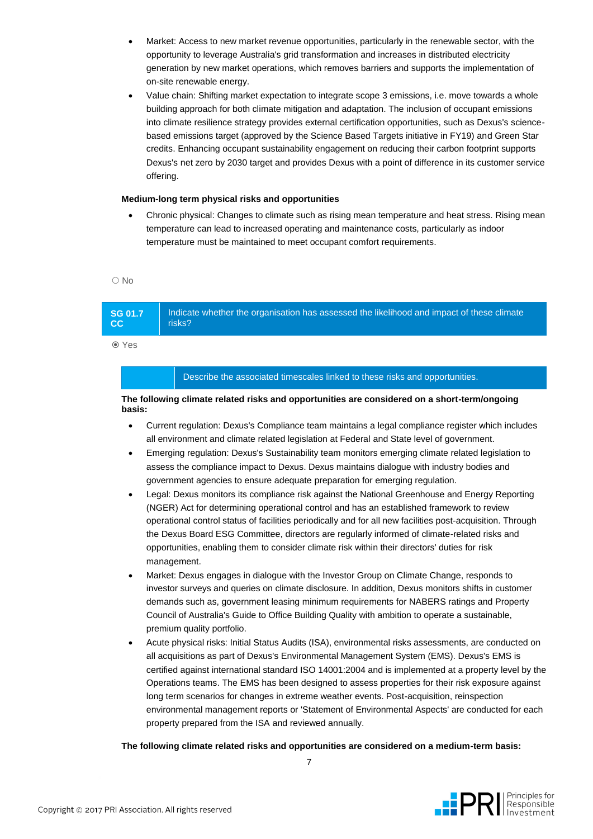- Market: Access to new market revenue opportunities, particularly in the renewable sector, with the opportunity to leverage Australia's grid transformation and increases in distributed electricity generation by new market operations, which removes barriers and supports the implementation of on-site renewable energy.
- Value chain: Shifting market expectation to integrate scope 3 emissions, i.e. move towards a whole building approach for both climate mitigation and adaptation. The inclusion of occupant emissions into climate resilience strategy provides external certification opportunities, such as Dexus's sciencebased emissions target (approved by the Science Based Targets initiative in FY19) and Green Star credits. Enhancing occupant sustainability engagement on reducing their carbon footprint supports Dexus's net zero by 2030 target and provides Dexus with a point of difference in its customer service offering.

#### **Medium-long term physical risks and opportunities**

 Chronic physical: Changes to climate such as rising mean temperature and heat stress. Rising mean temperature can lead to increased operating and maintenance costs, particularly as indoor temperature must be maintained to meet occupant comfort requirements.

 $\bigcap$  No

**SG 01.7 CC** Indicate whether the organisation has assessed the likelihood and impact of these climate risks?

Yes

#### Describe the associated timescales linked to these risks and opportunities.

#### **The following climate related risks and opportunities are considered on a short-term/ongoing basis:**

- Current regulation: Dexus's Compliance team maintains a legal compliance register which includes all environment and climate related legislation at Federal and State level of government.
- Emerging regulation: Dexus's Sustainability team monitors emerging climate related legislation to assess the compliance impact to Dexus. Dexus maintains dialogue with industry bodies and government agencies to ensure adequate preparation for emerging regulation.
- Legal: Dexus monitors its compliance risk against the National Greenhouse and Energy Reporting (NGER) Act for determining operational control and has an established framework to review operational control status of facilities periodically and for all new facilities post-acquisition. Through the Dexus Board ESG Committee, directors are regularly informed of climate-related risks and opportunities, enabling them to consider climate risk within their directors' duties for risk management.
- Market: Dexus engages in dialogue with the Investor Group on Climate Change, responds to investor surveys and queries on climate disclosure. In addition, Dexus monitors shifts in customer demands such as, government leasing minimum requirements for NABERS ratings and Property Council of Australia's Guide to Office Building Quality with ambition to operate a sustainable, premium quality portfolio.
- Acute physical risks: Initial Status Audits (ISA), environmental risks assessments, are conducted on all acquisitions as part of Dexus's Environmental Management System (EMS). Dexus's EMS is certified against international standard ISO 14001:2004 and is implemented at a property level by the Operations teams. The EMS has been designed to assess properties for their risk exposure against long term scenarios for changes in extreme weather events. Post-acquisition, reinspection environmental management reports or 'Statement of Environmental Aspects' are conducted for each property prepared from the ISA and reviewed annually.

#### **The following climate related risks and opportunities are considered on a medium-term basis:**

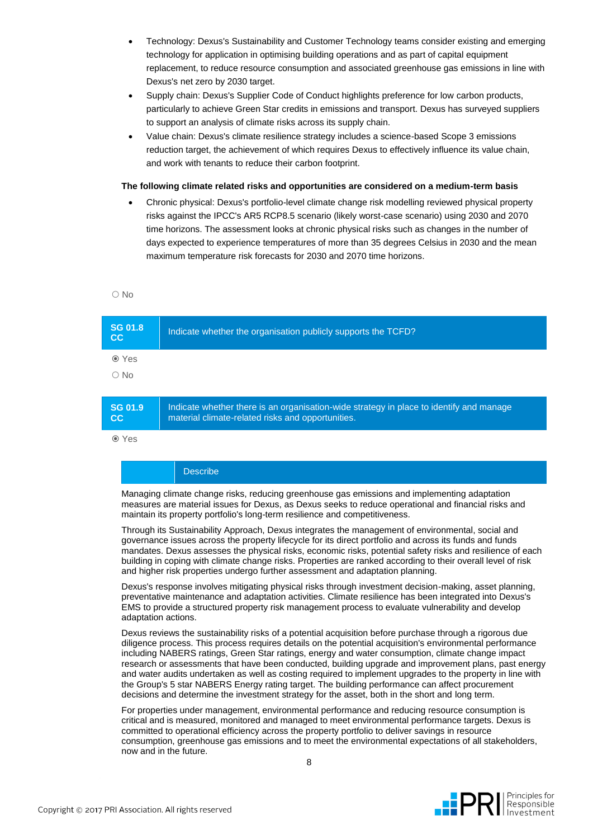- Technology: Dexus's Sustainability and Customer Technology teams consider existing and emerging technology for application in optimising building operations and as part of capital equipment replacement, to reduce resource consumption and associated greenhouse gas emissions in line with Dexus's net zero by 2030 target.
- Supply chain: Dexus's Supplier Code of Conduct highlights preference for low carbon products, particularly to achieve Green Star credits in emissions and transport. Dexus has surveyed suppliers to support an analysis of climate risks across its supply chain.
- Value chain: Dexus's climate resilience strategy includes a science-based Scope 3 emissions reduction target, the achievement of which requires Dexus to effectively influence its value chain, and work with tenants to reduce their carbon footprint.

#### **The following climate related risks and opportunities are considered on a medium-term basis**

 Chronic physical: Dexus's portfolio-level climate change risk modelling reviewed physical property risks against the IPCC's AR5 RCP8.5 scenario (likely worst-case scenario) using 2030 and 2070 time horizons. The assessment looks at chronic physical risks such as changes in the number of days expected to experience temperatures of more than 35 degrees Celsius in 2030 and the mean maximum temperature risk forecasts for 2030 and 2070 time horizons.

O No

| <b>SG 01.8</b><br>cc | Indicate whether the organisation publicly supports the TCFD?                                                                                |
|----------------------|----------------------------------------------------------------------------------------------------------------------------------------------|
| <b>⊙</b> Yes         |                                                                                                                                              |
| $\circ$ No           |                                                                                                                                              |
|                      |                                                                                                                                              |
| SG 01.9<br>cc        | Indicate whether there is an organisation-wide strategy in place to identify and manage<br>material climate-related risks and opportunities. |

Yes

#### **Describe**

Managing climate change risks, reducing greenhouse gas emissions and implementing adaptation measures are material issues for Dexus, as Dexus seeks to reduce operational and financial risks and maintain its property portfolio's long-term resilience and competitiveness.

Through its Sustainability Approach, Dexus integrates the management of environmental, social and governance issues across the property lifecycle for its direct portfolio and across its funds and funds mandates. Dexus assesses the physical risks, economic risks, potential safety risks and resilience of each building in coping with climate change risks. Properties are ranked according to their overall level of risk and higher risk properties undergo further assessment and adaptation planning.

Dexus's response involves mitigating physical risks through investment decision-making, asset planning, preventative maintenance and adaptation activities. Climate resilience has been integrated into Dexus's EMS to provide a structured property risk management process to evaluate vulnerability and develop adaptation actions.

Dexus reviews the sustainability risks of a potential acquisition before purchase through a rigorous due diligence process. This process requires details on the potential acquisition's environmental performance including NABERS ratings, Green Star ratings, energy and water consumption, climate change impact research or assessments that have been conducted, building upgrade and improvement plans, past energy and water audits undertaken as well as costing required to implement upgrades to the property in line with the Group's 5 star NABERS Energy rating target. The building performance can affect procurement decisions and determine the investment strategy for the asset, both in the short and long term.

For properties under management, environmental performance and reducing resource consumption is critical and is measured, monitored and managed to meet environmental performance targets. Dexus is committed to operational efficiency across the property portfolio to deliver savings in resource consumption, greenhouse gas emissions and to meet the environmental expectations of all stakeholders, now and in the future.

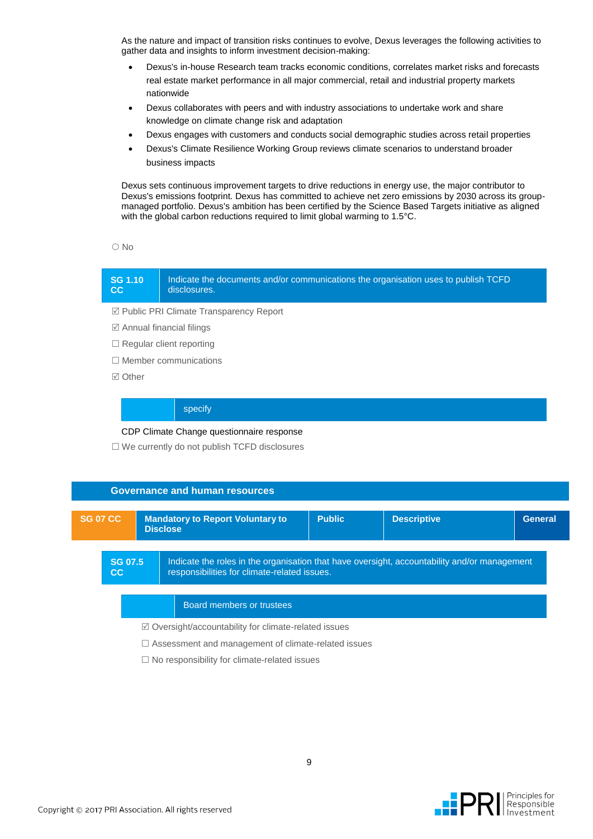As the nature and impact of transition risks continues to evolve, Dexus leverages the following activities to gather data and insights to inform investment decision-making:

- Dexus's in-house Research team tracks economic conditions, correlates market risks and forecasts real estate market performance in all major commercial, retail and industrial property markets nationwide
- Dexus collaborates with peers and with industry associations to undertake work and share knowledge on climate change risk and adaptation
- Dexus engages with customers and conducts social demographic studies across retail properties
- Dexus's Climate Resilience Working Group reviews climate scenarios to understand broader business impacts

Dexus sets continuous improvement targets to drive reductions in energy use, the major contributor to Dexus's emissions footprint. Dexus has committed to achieve net zero emissions by 2030 across its groupmanaged portfolio. Dexus's ambition has been certified by the Science Based Targets initiative as aligned with the global carbon reductions required to limit global warming to 1.5°C.

 $\bigcirc$  No

**CC**

#### **SG 1.10**  Indicate the documents and/or communications the organisation uses to publish TCFD disclosures.

Public PRI Climate Transparency Report

- $\boxtimes$  Annual financial filings
- $\Box$  Regular client reporting
- $\Box$  Member communications
- **⊠** Other

#### specify

CDP Climate Change questionnaire response

 $\square$  We currently do not publish TCFD disclosures

|                                                                 |  | <b>Governance and human resources</b>                                                                                                        |               |                    |                |
|-----------------------------------------------------------------|--|----------------------------------------------------------------------------------------------------------------------------------------------|---------------|--------------------|----------------|
| <b>SG 07 CC</b>                                                 |  | <b>Mandatory to Report Voluntary to</b><br><b>Disclose</b>                                                                                   | <b>Public</b> | <b>Descriptive</b> | <b>General</b> |
| <b>SG 07.5</b><br>cc                                            |  | Indicate the roles in the organisation that have oversight, accountability and/or management<br>responsibilities for climate-related issues. |               |                    |                |
| Board members or trustees                                       |  |                                                                                                                                              |               |                    |                |
| $\boxtimes$ Oversight/accountability for climate-related issues |  |                                                                                                                                              |               |                    |                |
| $\Box$ Assessment and management of climate-related issues      |  |                                                                                                                                              |               |                    |                |
| $\Box$ No responsibility for climate-related issues             |  |                                                                                                                                              |               |                    |                |

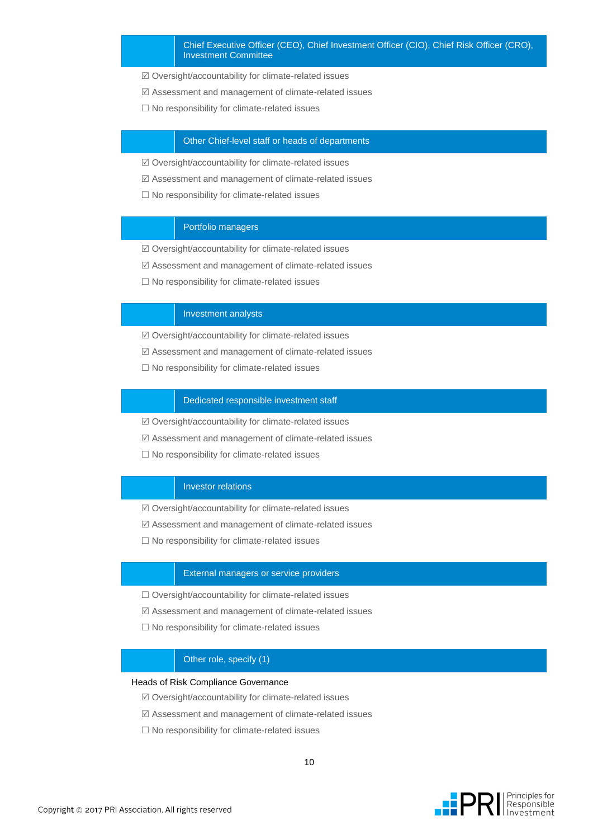- Oversight/accountability for climate-related issues
- Assessment and management of climate-related issues
- $\Box$  No responsibility for climate-related issues

#### Other Chief-level staff or heads of departments

- Oversight/accountability for climate-related issues
- Assessment and management of climate-related issues
- $\square$  No responsibility for climate-related issues

#### Portfolio managers

- Oversight/accountability for climate-related issues
- Assessment and management of climate-related issues
- $\Box$  No responsibility for climate-related issues

#### Investment analysts

- $\boxtimes$  Oversight/accountability for climate-related issues
- Assessment and management of climate-related issues
- $\square$  No responsibility for climate-related issues

#### Dedicated responsible investment staff

- $\boxtimes$  Oversight/accountability for climate-related issues
- Assessment and management of climate-related issues
- $\Box$  No responsibility for climate-related issues

#### Investor relations

- $\boxtimes$  Oversight/accountability for climate-related issues
- Assessment and management of climate-related issues
- $\square$  No responsibility for climate-related issues

#### External managers or service providers

- $\Box$  Oversight/accountability for climate-related issues
- $\boxtimes$  Assessment and management of climate-related issues
- $\square$  No responsibility for climate-related issues

#### Other role, specify (1)

#### Heads of Risk Compliance Governance

- Oversight/accountability for climate-related issues
- Assessment and management of climate-related issues
- $\square$  No responsibility for climate-related issues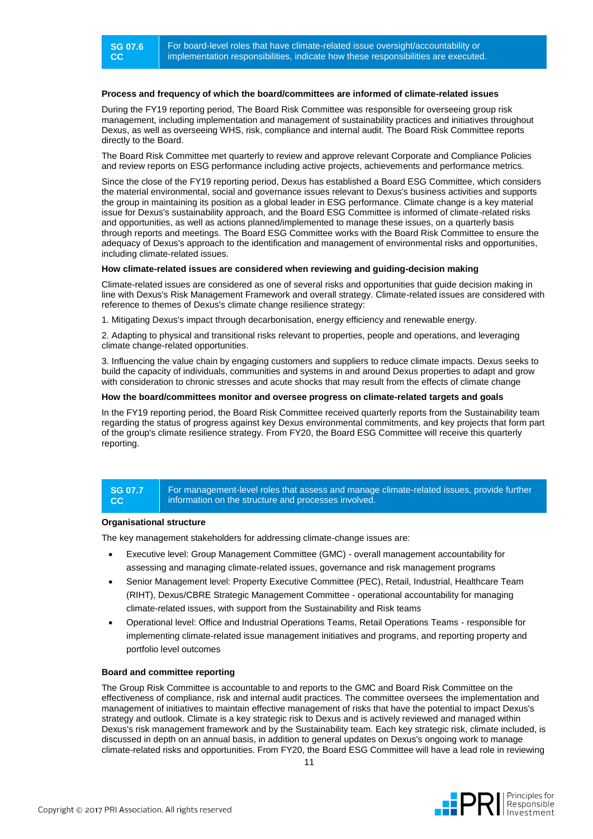#### **Process and frequency of which the board/committees are informed of climate-related issues**

During the FY19 reporting period, The Board Risk Committee was responsible for overseeing group risk management, including implementation and management of sustainability practices and initiatives throughout Dexus, as well as overseeing WHS, risk, compliance and internal audit. The Board Risk Committee reports directly to the Board.

The Board Risk Committee met quarterly to review and approve relevant Corporate and Compliance Policies and review reports on ESG performance including active projects, achievements and performance metrics.

Since the close of the FY19 reporting period, Dexus has established a Board ESG Committee, which considers the material environmental, social and governance issues relevant to Dexus's business activities and supports the group in maintaining its position as a global leader in ESG performance. Climate change is a key material issue for Dexus's sustainability approach, and the Board ESG Committee is informed of climate-related risks and opportunities, as well as actions planned/implemented to manage these issues, on a quarterly basis through reports and meetings. The Board ESG Committee works with the Board Risk Committee to ensure the adequacy of Dexus's approach to the identification and management of environmental risks and opportunities, including climate-related issues.

#### **How climate-related issues are considered when reviewing and guiding-decision making**

Climate-related issues are considered as one of several risks and opportunities that guide decision making in line with Dexus's Risk Management Framework and overall strategy. Climate-related issues are considered with reference to themes of Dexus's climate change resilience strategy:

1. Mitigating Dexus's impact through decarbonisation, energy efficiency and renewable energy.

2. Adapting to physical and transitional risks relevant to properties, people and operations, and leveraging climate change-related opportunities.

3. Influencing the value chain by engaging customers and suppliers to reduce climate impacts. Dexus seeks to build the capacity of individuals, communities and systems in and around Dexus properties to adapt and grow with consideration to chronic stresses and acute shocks that may result from the effects of climate change

#### **How the board/committees monitor and oversee progress on climate-related targets and goals**

In the FY19 reporting period, the Board Risk Committee received quarterly reports from the Sustainability team regarding the status of progress against key Dexus environmental commitments, and key projects that form part of the group's climate resilience strategy. From FY20, the Board ESG Committee will receive this quarterly reporting.

#### **SG 07.7 CC**

For management-level roles that assess and manage climate-related issues, provide further information on the structure and processes involved.

#### **Organisational structure**

The key management stakeholders for addressing climate-change issues are:

- Executive level: Group Management Committee (GMC) overall management accountability for assessing and managing climate-related issues, governance and risk management programs
- Senior Management level: Property Executive Committee (PEC), Retail, Industrial, Healthcare Team (RIHT), Dexus/CBRE Strategic Management Committee - operational accountability for managing climate-related issues, with support from the Sustainability and Risk teams
- Operational level: Office and Industrial Operations Teams, Retail Operations Teams responsible for implementing climate-related issue management initiatives and programs, and reporting property and portfolio level outcomes

#### **Board and committee reporting**

The Group Risk Committee is accountable to and reports to the GMC and Board Risk Committee on the effectiveness of compliance, risk and internal audit practices. The committee oversees the implementation and management of initiatives to maintain effective management of risks that have the potential to impact Dexus's strategy and outlook. Climate is a key strategic risk to Dexus and is actively reviewed and managed within Dexus's risk management framework and by the Sustainability team. Each key strategic risk, climate included, is discussed in depth on an annual basis, in addition to general updates on Dexus's ongoing work to manage climate-related risks and opportunities. From FY20, the Board ESG Committee will have a lead role in reviewing

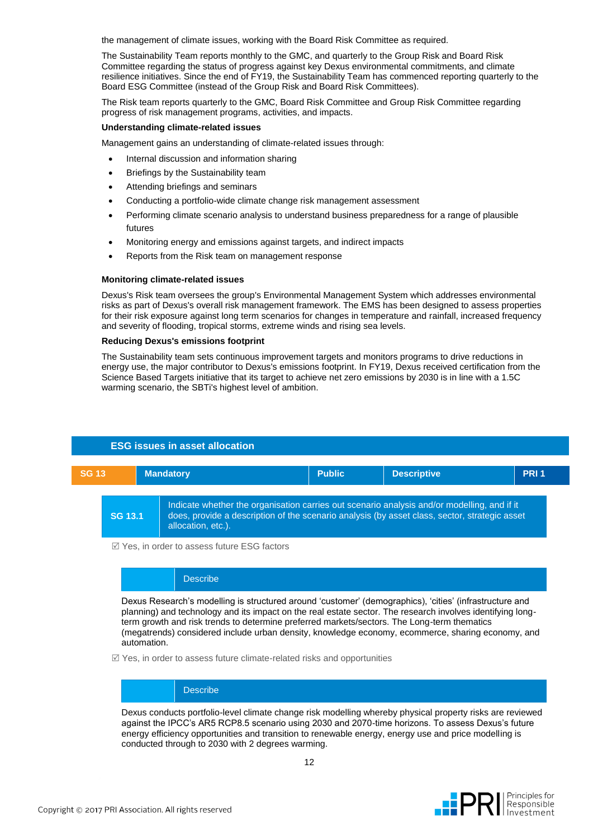the management of climate issues, working with the Board Risk Committee as required.

The Sustainability Team reports monthly to the GMC, and quarterly to the Group Risk and Board Risk Committee regarding the status of progress against key Dexus environmental commitments, and climate resilience initiatives. Since the end of FY19, the Sustainability Team has commenced reporting quarterly to the Board ESG Committee (instead of the Group Risk and Board Risk Committees).

The Risk team reports quarterly to the GMC, Board Risk Committee and Group Risk Committee regarding progress of risk management programs, activities, and impacts.

#### **Understanding climate-related issues**

Management gains an understanding of climate-related issues through:

- Internal discussion and information sharing
- Briefings by the Sustainability team
- Attending briefings and seminars
- Conducting a portfolio-wide climate change risk management assessment
- Performing climate scenario analysis to understand business preparedness for a range of plausible futures
- Monitoring energy and emissions against targets, and indirect impacts
- Reports from the Risk team on management response

#### **Monitoring climate-related issues**

Dexus's Risk team oversees the group's Environmental Management System which addresses environmental risks as part of Dexus's overall risk management framework. The EMS has been designed to assess properties for their risk exposure against long term scenarios for changes in temperature and rainfall, increased frequency and severity of flooding, tropical storms, extreme winds and rising sea levels.

#### **Reducing Dexus's emissions footprint**

The Sustainability team sets continuous improvement targets and monitors programs to drive reductions in energy use, the major contributor to Dexus's emissions footprint. In FY19, Dexus received certification from the Science Based Targets initiative that its target to achieve net zero emissions by 2030 is in line with a 1.5C warming scenario, the SBTi's highest level of ambition.

### **ESG issues in asset allocation**



 $\boxtimes$  Yes, in order to assess future ESG factors

#### **Describe**

Dexus Research's modelling is structured around 'customer' (demographics), 'cities' (infrastructure and planning) and technology and its impact on the real estate sector. The research involves identifying longterm growth and risk trends to determine preferred markets/sectors. The Long-term thematics (megatrends) considered include urban density, knowledge economy, ecommerce, sharing economy, and automation.

 $\mathbb Z$  Yes, in order to assess future climate-related risks and opportunities

#### **Describe**

Dexus conducts portfolio-level climate change risk modelling whereby physical property risks are reviewed against the IPCC's AR5 RCP8.5 scenario using 2030 and 2070-time horizons. To assess Dexus's future energy efficiency opportunities and transition to renewable energy, energy use and price modelling is conducted through to 2030 with 2 degrees warming.

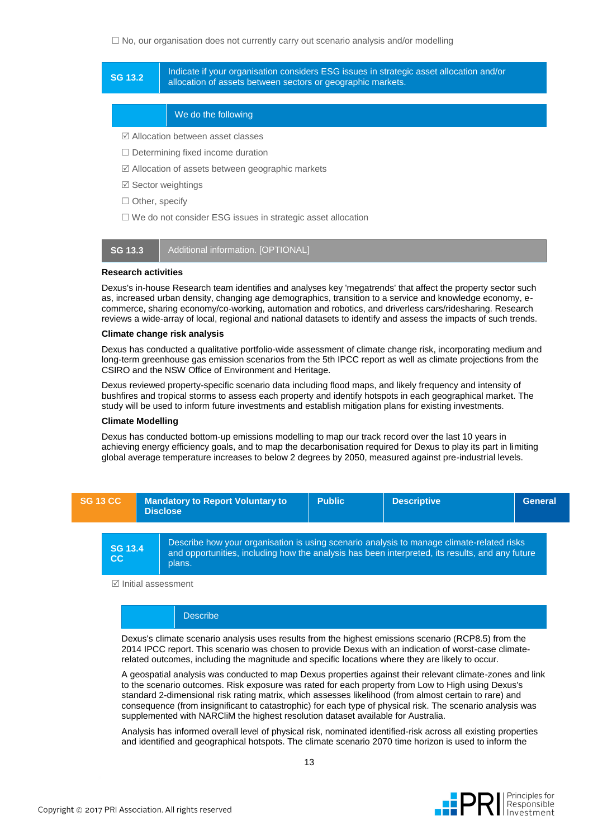#### $\Box$  No, our organisation does not currently carry out scenario analysis and/or modelling

#### **SG 13.2** Indicate if your organisation considers ESG issues in strategic asset allocation and/or<br>
SG 13.2 Indicate is a contract a set the constant of acceptance and allocation and allocation and allocation of acceptance allocation of assets between sectors or geographic markets.

#### We do the following

- Allocation between asset classes
- $\Box$  Determining fixed income duration
- Allocation of assets between geographic markets
- $\boxtimes$  Sector weightings
- $\Box$  Other, specify
- $\Box$  We do not consider ESG issues in strategic asset allocation



#### **Research activities**

Dexus's in-house Research team identifies and analyses key 'megatrends' that affect the property sector such as, increased urban density, changing age demographics, transition to a service and knowledge economy, ecommerce, sharing economy/co-working, automation and robotics, and driverless cars/ridesharing. Research reviews a wide-array of local, regional and national datasets to identify and assess the impacts of such trends.

#### **Climate change risk analysis**

Dexus has conducted a qualitative portfolio-wide assessment of climate change risk, incorporating medium and long-term greenhouse gas emission scenarios from the 5th IPCC report as well as climate projections from the CSIRO and the NSW Office of Environment and Heritage.

Dexus reviewed property-specific scenario data including flood maps, and likely frequency and intensity of bushfires and tropical storms to assess each property and identify hotspots in each geographical market. The study will be used to inform future investments and establish mitigation plans for existing investments.

#### **Climate Modelling**

Dexus has conducted bottom-up emissions modelling to map our track record over the last 10 years in achieving energy efficiency goals, and to map the decarbonisation required for Dexus to play its part in limiting global average temperature increases to below 2 degrees by 2050, measured against pre-industrial levels.



 $\boxtimes$  Initial assessment

#### Describe

Dexus's climate scenario analysis uses results from the highest emissions scenario (RCP8.5) from the 2014 IPCC report. This scenario was chosen to provide Dexus with an indication of worst-case climaterelated outcomes, including the magnitude and specific locations where they are likely to occur.

A geospatial analysis was conducted to map Dexus properties against their relevant climate-zones and link to the scenario outcomes. Risk exposure was rated for each property from Low to High using Dexus's standard 2-dimensional risk rating matrix, which assesses likelihood (from almost certain to rare) and consequence (from insignificant to catastrophic) for each type of physical risk. The scenario analysis was supplemented with NARCliM the highest resolution dataset available for Australia.

Analysis has informed overall level of physical risk, nominated identified-risk across all existing properties and identified and geographical hotspots. The climate scenario 2070 time horizon is used to inform the

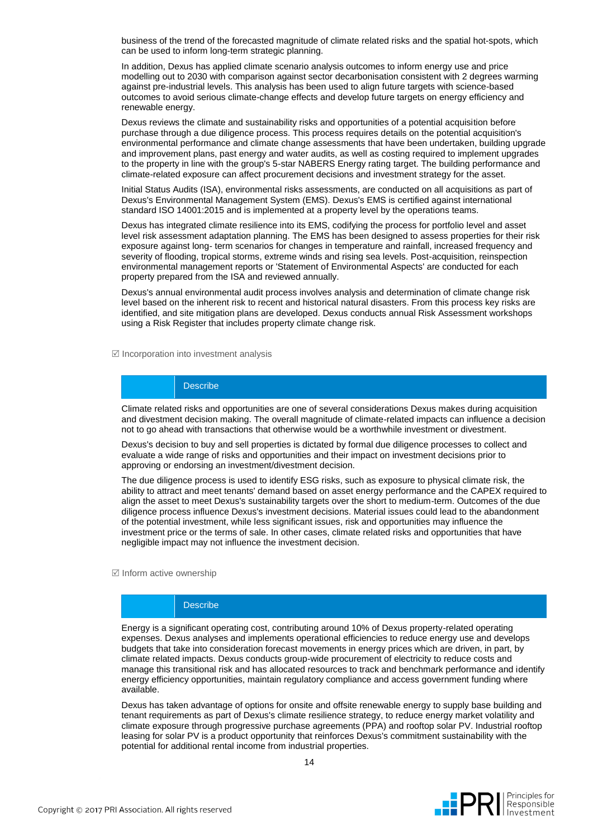business of the trend of the forecasted magnitude of climate related risks and the spatial hot-spots, which can be used to inform long-term strategic planning.

In addition, Dexus has applied climate scenario analysis outcomes to inform energy use and price modelling out to 2030 with comparison against sector decarbonisation consistent with 2 degrees warming against pre-industrial levels. This analysis has been used to align future targets with science-based outcomes to avoid serious climate-change effects and develop future targets on energy efficiency and renewable energy.

Dexus reviews the climate and sustainability risks and opportunities of a potential acquisition before purchase through a due diligence process. This process requires details on the potential acquisition's environmental performance and climate change assessments that have been undertaken, building upgrade and improvement plans, past energy and water audits, as well as costing required to implement upgrades to the property in line with the group's 5-star NABERS Energy rating target. The building performance and climate-related exposure can affect procurement decisions and investment strategy for the asset.

Initial Status Audits (ISA), environmental risks assessments, are conducted on all acquisitions as part of Dexus's Environmental Management System (EMS). Dexus's EMS is certified against international standard ISO 14001:2015 and is implemented at a property level by the operations teams.

Dexus has integrated climate resilience into its EMS, codifying the process for portfolio level and asset level risk assessment adaptation planning. The EMS has been designed to assess properties for their risk exposure against long- term scenarios for changes in temperature and rainfall, increased frequency and severity of flooding, tropical storms, extreme winds and rising sea levels. Post-acquisition, reinspection environmental management reports or 'Statement of Environmental Aspects' are conducted for each property prepared from the ISA and reviewed annually.

Dexus's annual environmental audit process involves analysis and determination of climate change risk level based on the inherent risk to recent and historical natural disasters. From this process key risks are identified, and site mitigation plans are developed. Dexus conducts annual Risk Assessment workshops using a Risk Register that includes property climate change risk.

 $\boxtimes$  Incorporation into investment analysis

#### **Describe**

Climate related risks and opportunities are one of several considerations Dexus makes during acquisition and divestment decision making. The overall magnitude of climate-related impacts can influence a decision not to go ahead with transactions that otherwise would be a worthwhile investment or divestment.

Dexus's decision to buy and sell properties is dictated by formal due diligence processes to collect and evaluate a wide range of risks and opportunities and their impact on investment decisions prior to approving or endorsing an investment/divestment decision.

The due diligence process is used to identify ESG risks, such as exposure to physical climate risk, the ability to attract and meet tenants' demand based on asset energy performance and the CAPEX required to align the asset to meet Dexus's sustainability targets over the short to medium-term. Outcomes of the due diligence process influence Dexus's investment decisions. Material issues could lead to the abandonment of the potential investment, while less significant issues, risk and opportunities may influence the investment price or the terms of sale. In other cases, climate related risks and opportunities that have negligible impact may not influence the investment decision.

 $\boxtimes$  Inform active ownership

#### **Describe**

Energy is a significant operating cost, contributing around 10% of Dexus property-related operating expenses. Dexus analyses and implements operational efficiencies to reduce energy use and develops budgets that take into consideration forecast movements in energy prices which are driven, in part, by climate related impacts. Dexus conducts group-wide procurement of electricity to reduce costs and manage this transitional risk and has allocated resources to track and benchmark performance and identify energy efficiency opportunities, maintain regulatory compliance and access government funding where available.

Dexus has taken advantage of options for onsite and offsite renewable energy to supply base building and tenant requirements as part of Dexus's climate resilience strategy, to reduce energy market volatility and climate exposure through progressive purchase agreements (PPA) and rooftop solar PV. Industrial rooftop leasing for solar PV is a product opportunity that reinforces Dexus's commitment sustainability with the potential for additional rental income from industrial properties.

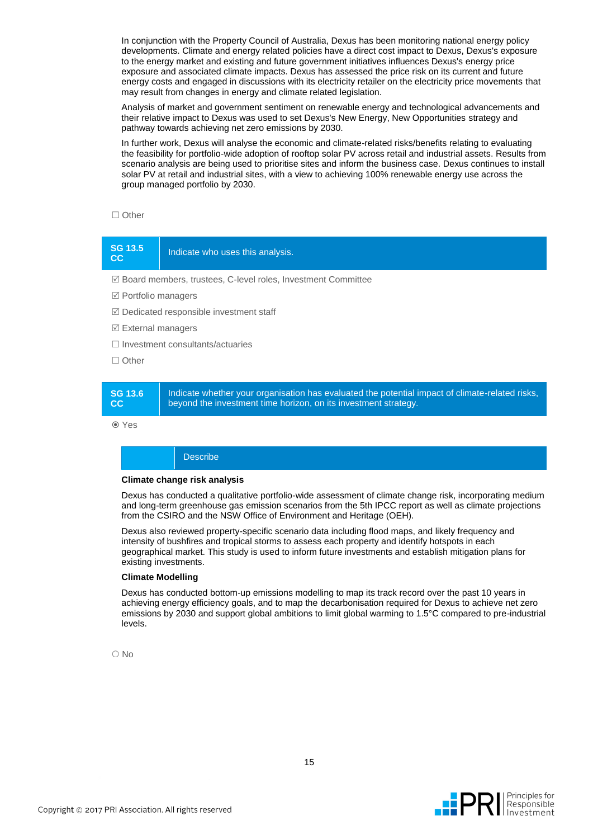In conjunction with the Property Council of Australia, Dexus has been monitoring national energy policy developments. Climate and energy related policies have a direct cost impact to Dexus, Dexus's exposure to the energy market and existing and future government initiatives influences Dexus's energy price exposure and associated climate impacts. Dexus has assessed the price risk on its current and future energy costs and engaged in discussions with its electricity retailer on the electricity price movements that may result from changes in energy and climate related legislation.

Analysis of market and government sentiment on renewable energy and technological advancements and their relative impact to Dexus was used to set Dexus's New Energy, New Opportunities strategy and pathway towards achieving net zero emissions by 2030.

In further work, Dexus will analyse the economic and climate-related risks/benefits relating to evaluating the feasibility for portfolio-wide adoption of rooftop solar PV across retail and industrial assets. Results from scenario analysis are being used to prioritise sites and inform the business case. Dexus continues to install solar PV at retail and industrial sites, with a view to achieving 100% renewable energy use across the group managed portfolio by 2030.

#### $\Box$  Other

### **SG 13.5 CC** I<sub>2.3</sub> | Indicate who uses this analysis.

Board members, trustees, C-level roles, Investment Committee

- $\boxtimes$  Portfolio managers
- $\boxtimes$  Dedicated responsible investment staff
- $\boxtimes$  External managers
- $\Box$  Investment consultants/actuaries
- □ Other

#### **SG 13.6 CC** Indicate whether your organisation has evaluated the potential impact of climate-related risks, beyond the investment time horizon, on its investment strategy.

Yes

#### **Describe**

#### **Climate change risk analysis**

Dexus has conducted a qualitative portfolio-wide assessment of climate change risk, incorporating medium and long-term greenhouse gas emission scenarios from the 5th IPCC report as well as climate projections from the CSIRO and the NSW Office of Environment and Heritage (OEH).

Dexus also reviewed property-specific scenario data including flood maps, and likely frequency and intensity of bushfires and tropical storms to assess each property and identify hotspots in each geographical market. This study is used to inform future investments and establish mitigation plans for existing investments.

#### **Climate Modelling**

Dexus has conducted bottom-up emissions modelling to map its track record over the past 10 years in achieving energy efficiency goals, and to map the decarbonisation required for Dexus to achieve net zero emissions by 2030 and support global ambitions to limit global warming to 1.5°C compared to pre-industrial levels.

O No

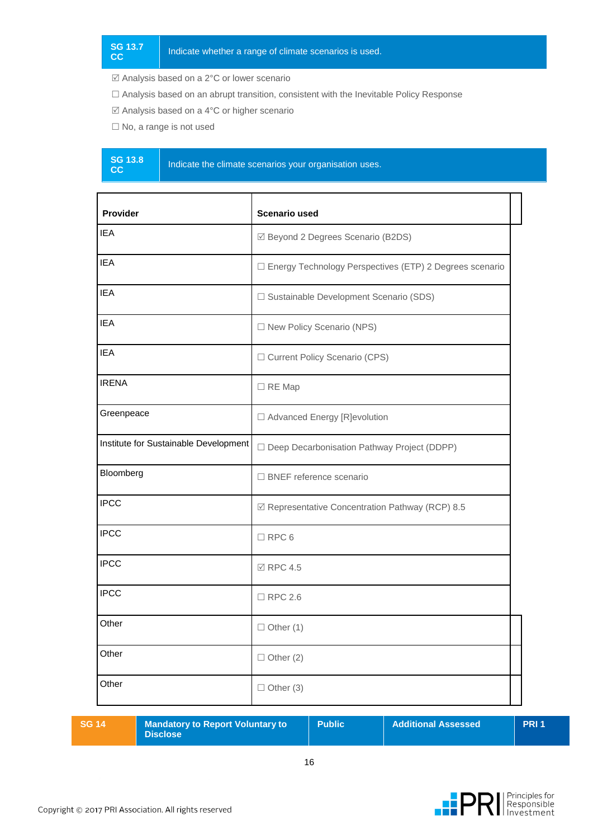Analysis based on a 2°C or lower scenario

- Analysis based on an abrupt transition, consistent with the Inevitable Policy Response
- Analysis based on a 4°C or higher scenario
- $\square$  No, a range is not used
- **SG 13.8**

Indicate the climate scenarios your organisation uses.

| ☑ Beyond 2 Degrees Scenario (B2DS)<br>□ Energy Technology Perspectives (ETP) 2 Degrees scenario<br>□ Sustainable Development Scenario (SDS) |  |
|---------------------------------------------------------------------------------------------------------------------------------------------|--|
|                                                                                                                                             |  |
|                                                                                                                                             |  |
|                                                                                                                                             |  |
|                                                                                                                                             |  |
|                                                                                                                                             |  |
|                                                                                                                                             |  |
| □ Advanced Energy [R]evolution                                                                                                              |  |
| Deep Decarbonisation Pathway Project (DDPP)                                                                                                 |  |
|                                                                                                                                             |  |
| ☑ Representative Concentration Pathway (RCP) 8.5                                                                                            |  |
|                                                                                                                                             |  |
|                                                                                                                                             |  |
|                                                                                                                                             |  |
|                                                                                                                                             |  |
|                                                                                                                                             |  |
|                                                                                                                                             |  |
|                                                                                                                                             |  |

|  | $\sqrt{SG}$ 14 | <b>Mandatory to Report Voluntary to</b><br><b>Disclose</b> | <b>Public</b> | <b>Additional Assessed</b> | <b>PRI1</b> |
|--|----------------|------------------------------------------------------------|---------------|----------------------------|-------------|
|--|----------------|------------------------------------------------------------|---------------|----------------------------|-------------|

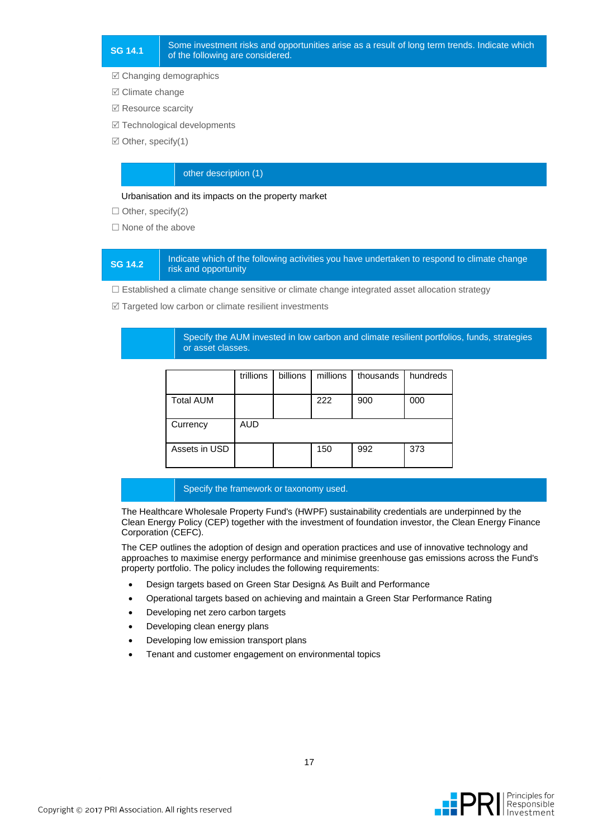Changing demographics

- $⊓$  Climate change
- $✓$  **Resource scarcity**
- **Ø** Technological developments
- $\boxtimes$  Other, specify(1)

#### other description (1)

#### Urbanisation and its impacts on the property market

 $\Box$  Other, specify(2)

 $\Box$  None of the above

#### **SG 14.2** Indicate which of the following activities you have undertaken to respond to climate change risk and opportunity

 $\Box$  Established a climate change sensitive or climate change integrated asset allocation strategy

 $\mathbb Z$  Targeted low carbon or climate resilient investments

Specify the AUM invested in low carbon and climate resilient portfolios, funds, strategies or asset classes.

|                  | trillions  | billions | millions | thousands | hundreds |
|------------------|------------|----------|----------|-----------|----------|
| <b>Total AUM</b> |            |          | 222      | 900       | 000      |
| Currency         | <b>AUD</b> |          |          |           |          |
| Assets in USD    |            |          | 150      | 992       | 373      |

#### Specify the framework or taxonomy used.

The Healthcare Wholesale Property Fund's (HWPF) sustainability credentials are underpinned by the Clean Energy Policy (CEP) together with the investment of foundation investor, the Clean Energy Finance Corporation (CEFC).

The CEP outlines the adoption of design and operation practices and use of innovative technology and approaches to maximise energy performance and minimise greenhouse gas emissions across the Fund's property portfolio. The policy includes the following requirements:

- Design targets based on Green Star Design& As Built and Performance
- Operational targets based on achieving and maintain a Green Star Performance Rating
- Developing net zero carbon targets
- Developing clean energy plans
- Developing low emission transport plans
- Tenant and customer engagement on environmental topics

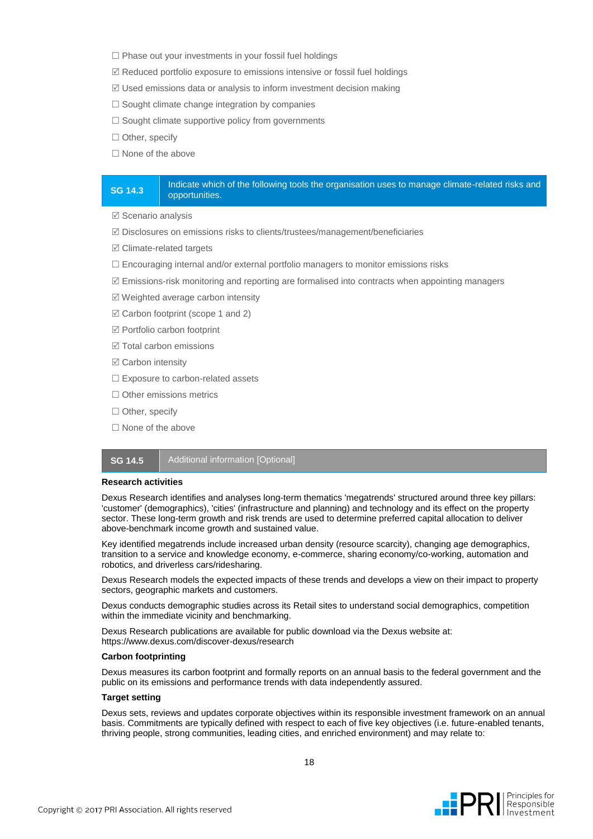- $\Box$  Phase out your investments in your fossil fuel holdings
- $\mathbb Z$  Reduced portfolio exposure to emissions intensive or fossil fuel holdings
- $\mathbb Z$  Used emissions data or analysis to inform investment decision making
- $\square$  Sought climate change integration by companies
- $\square$  Sought climate supportive policy from governments
- $\Box$  Other, specify
- $\Box$  None of the above

#### **SG 14.3** Indicate which of the following tools the organisation uses to manage climate-related risks and opportunities.

- $\boxtimes$  Scenario analysis
- $\boxtimes$  Disclosures on emissions risks to clients/trustees/management/beneficiaries
- $\boxtimes$  Climate-related targets
- $\Box$  Encouraging internal and/or external portfolio managers to monitor emissions risks
- $\mathbb Z$  Emissions-risk monitoring and reporting are formalised into contracts when appointing managers
- $\boxtimes$  Weighted average carbon intensity
- $\boxtimes$  Carbon footprint (scope 1 and 2)
- Portfolio carbon footprint
- $\boxtimes$  Total carbon emissions
- $□$  **Carbon intensity**
- □ Exposure to carbon-related assets
- $\Box$  Other emissions metrics
- □ Other, specify
- $\Box$  None of the above

#### **SG 14.5** | Additional information [Optional]

#### **Research activities**

Dexus Research identifies and analyses long-term thematics 'megatrends' structured around three key pillars: 'customer' (demographics), 'cities' (infrastructure and planning) and technology and its effect on the property sector. These long-term growth and risk trends are used to determine preferred capital allocation to deliver above-benchmark income growth and sustained value.

Key identified megatrends include increased urban density (resource scarcity), changing age demographics, transition to a service and knowledge economy, e-commerce, sharing economy/co-working, automation and robotics, and driverless cars/ridesharing.

Dexus Research models the expected impacts of these trends and develops a view on their impact to property sectors, geographic markets and customers.

Dexus conducts demographic studies across its Retail sites to understand social demographics, competition within the immediate vicinity and benchmarking.

Dexus Research publications are available for public download via the Dexus website at: https://www.dexus.com/discover-dexus/research

#### **Carbon footprinting**

Dexus measures its carbon footprint and formally reports on an annual basis to the federal government and the public on its emissions and performance trends with data independently assured.

#### **Target setting**

Dexus sets, reviews and updates corporate objectives within its responsible investment framework on an annual basis. Commitments are typically defined with respect to each of five key objectives (i.e. future-enabled tenants, thriving people, strong communities, leading cities, and enriched environment) and may relate to:

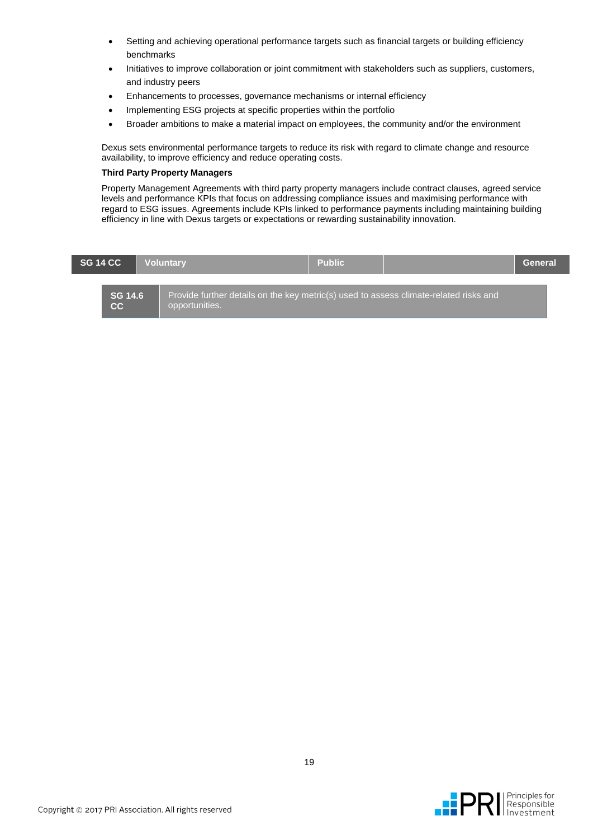- Setting and achieving operational performance targets such as financial targets or building efficiency benchmarks
- Initiatives to improve collaboration or joint commitment with stakeholders such as suppliers, customers, and industry peers
- Enhancements to processes, governance mechanisms or internal efficiency
- Implementing ESG projects at specific properties within the portfolio
- Broader ambitions to make a material impact on employees, the community and/or the environment

Dexus sets environmental performance targets to reduce its risk with regard to climate change and resource availability, to improve efficiency and reduce operating costs.

#### **Third Party Property Managers**

Property Management Agreements with third party property managers include contract clauses, agreed service levels and performance KPIs that focus on addressing compliance issues and maximising performance with regard to ESG issues. Agreements include KPIs linked to performance payments including maintaining building efficiency in line with Dexus targets or expectations or rewarding sustainability innovation.

| <b>SG 14 CC</b>      | <b>Voluntary</b>                                                                                        | <b>Public</b> | General |
|----------------------|---------------------------------------------------------------------------------------------------------|---------------|---------|
| <b>SG 14.6</b><br>cc | Provide further details on the key metric(s) used to assess climate-related risks and<br>opportunities. |               |         |

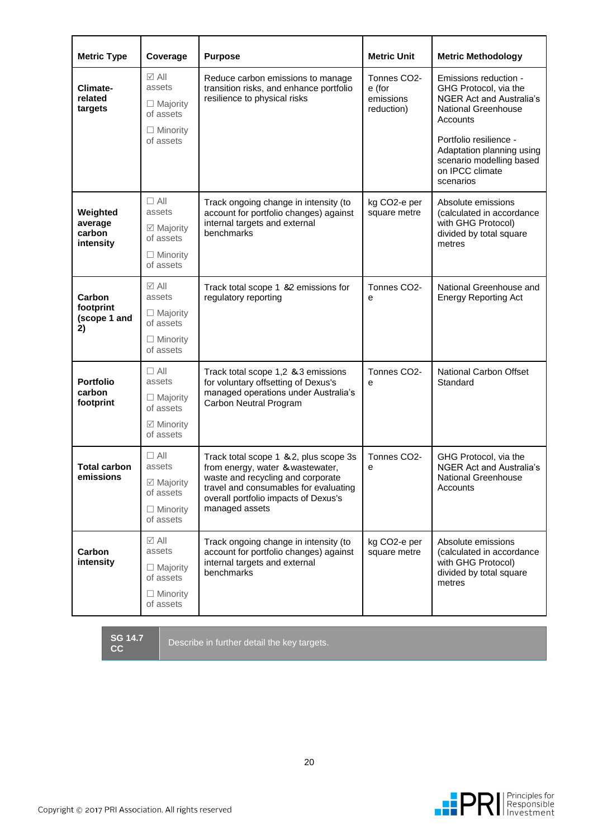| <b>Metric Type</b>                    | Coverage                                                                                  | <b>Purpose</b>                                                                                                     | <b>Metric Unit</b>                               | <b>Metric Methodology</b>                                                                                                                      |  |
|---------------------------------------|-------------------------------------------------------------------------------------------|--------------------------------------------------------------------------------------------------------------------|--------------------------------------------------|------------------------------------------------------------------------------------------------------------------------------------------------|--|
| <b>Climate-</b><br>related<br>targets | $\boxtimes$ All<br>assets<br>$\Box$ Majority<br>of assets<br>$\Box$ Minority<br>of assets | Reduce carbon emissions to manage<br>transition risks, and enhance portfolio<br>resilience to physical risks       | Tonnes CO2-<br>e (for<br>emissions<br>reduction) | Emissions reduction -<br>GHG Protocol, via the<br><b>NGER Act and Australia's</b><br>National Greenhouse<br>Accounts<br>Portfolio resilience - |  |
|                                       |                                                                                           |                                                                                                                    |                                                  | Adaptation planning using<br>scenario modelling based<br>on IPCC climate<br>scenarios                                                          |  |
| Weighted                              | $\Box$ All<br>assets                                                                      | Track ongoing change in intensity (to<br>account for portfolio changes) against                                    | kg CO2-e per<br>square metre                     | Absolute emissions<br>(calculated in accordance                                                                                                |  |
| average<br>carbon<br>intensity        | ☑ Majority<br>of assets                                                                   | internal targets and external<br>benchmarks                                                                        |                                                  | with GHG Protocol)<br>divided by total square<br>metres                                                                                        |  |
|                                       | $\Box$ Minority<br>of assets                                                              |                                                                                                                    |                                                  |                                                                                                                                                |  |
| Carbon                                | $\boxtimes$ All<br>assets                                                                 | Track total scope 1 &2 emissions for<br>regulatory reporting                                                       | Tonnes CO2-<br>e                                 | National Greenhouse and<br><b>Energy Reporting Act</b>                                                                                         |  |
| footprint<br>(scope 1 and<br>2)       | $\Box$ Majority<br>of assets                                                              |                                                                                                                    |                                                  |                                                                                                                                                |  |
|                                       | $\Box$ Minority<br>of assets                                                              |                                                                                                                    |                                                  |                                                                                                                                                |  |
| <b>Portfolio</b>                      | $\Box$ All<br>assets                                                                      | Track total scope 1,2 & 3 emissions<br>for voluntary offsetting of Dexus's                                         | Tonnes CO2-<br>e                                 | National Carbon Offset<br>Standard                                                                                                             |  |
| carbon<br>footprint                   | $\Box$ Majority<br>of assets                                                              | managed operations under Australia's<br>Carbon Neutral Program                                                     |                                                  |                                                                                                                                                |  |
|                                       | ☑ Minority<br>of assets                                                                   |                                                                                                                    |                                                  |                                                                                                                                                |  |
| <b>Total carbon</b>                   | $\Box$ All<br>assets                                                                      | Track total scope 1 & 2, plus scope 3s<br>from energy, water & wastewater,                                         | Tonnes CO2-<br>e                                 | GHG Protocol, via the<br><b>NGER Act and Australia's</b>                                                                                       |  |
| emissions                             | ☑ Majority<br>of assets                                                                   | waste and recycling and corporate<br>travel and consumables for evaluating<br>overall portfolio impacts of Dexus's |                                                  | National Greenhouse<br>Accounts                                                                                                                |  |
|                                       | $\Box$ Minority<br>of assets                                                              | managed assets                                                                                                     |                                                  |                                                                                                                                                |  |
| Carbon                                | $\boxtimes$ All<br>assets                                                                 | Track ongoing change in intensity (to<br>account for portfolio changes) against                                    | kg CO2-e per<br>square metre                     | Absolute emissions<br>(calculated in accordance                                                                                                |  |
| intensity                             | $\Box$ Majority<br>of assets                                                              | internal targets and external<br>benchmarks                                                                        |                                                  | with GHG Protocol)<br>divided by total square<br>metres                                                                                        |  |
|                                       | $\Box$ Minority<br>of assets                                                              |                                                                                                                    |                                                  |                                                                                                                                                |  |

**SG 14.7** 

Describe in further detail the key targets.

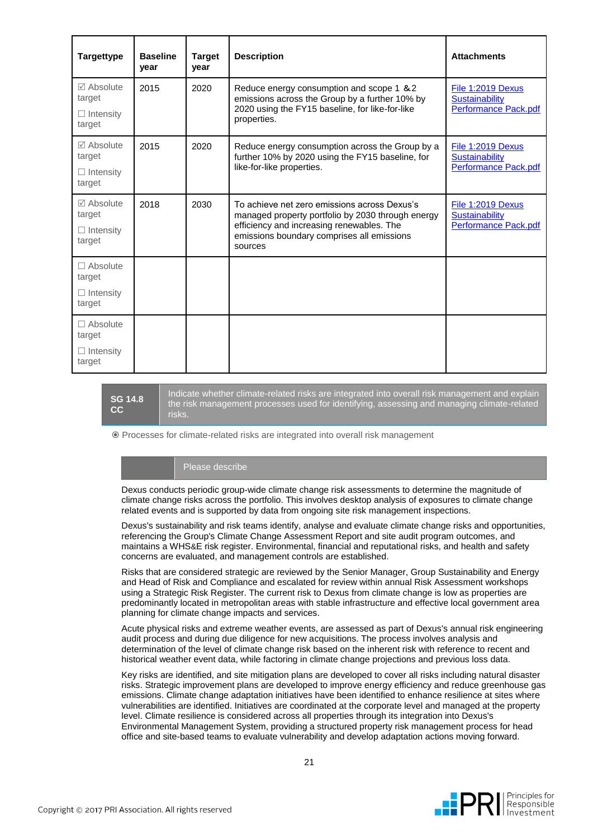| <b>Targettype</b>                                                | <b>Baseline</b><br>year | <b>Target</b><br>year | <b>Description</b>                                                                                                                                                                                      | <b>Attachments</b>                                                 |  |
|------------------------------------------------------------------|-------------------------|-----------------------|---------------------------------------------------------------------------------------------------------------------------------------------------------------------------------------------------------|--------------------------------------------------------------------|--|
| $\boxtimes$ Absolute<br>target<br>$\Box$ Intensity<br>target     | 2015                    | 2020                  | Reduce energy consumption and scope 1 & 2<br>emissions across the Group by a further 10% by<br>2020 using the FY15 baseline, for like-for-like<br>properties.                                           | File 1:2019 Dexus<br><b>Sustainability</b><br>Performance Pack.pdf |  |
| $\triangledown$ Absolute<br>target<br>$\Box$ Intensity<br>target | 2015                    | 2020                  | Reduce energy consumption across the Group by a<br>further 10% by 2020 using the FY15 baseline, for<br>like-for-like properties.                                                                        | File 1:2019 Dexus<br>Sustainability<br>Performance Pack.pdf        |  |
| $\triangledown$ Absolute<br>target<br>$\Box$ Intensity<br>target | 2018                    | 2030                  | To achieve net zero emissions across Dexus's<br>managed property portfolio by 2030 through energy<br>efficiency and increasing renewables. The<br>emissions boundary comprises all emissions<br>sources | File 1:2019 Dexus<br><b>Sustainability</b><br>Performance Pack.pdf |  |
| $\Box$ Absolute<br>target<br>$\Box$ Intensity<br>target          |                         |                       |                                                                                                                                                                                                         |                                                                    |  |
| $\Box$ Absolute<br>target<br>$\Box$ Intensity<br>target          |                         |                       |                                                                                                                                                                                                         |                                                                    |  |

**SG 14.8 CC**

Indicate whether climate-related risks are integrated into overall risk management and explain the risk management processes used for identifying, assessing and managing climate-related risks.

Processes for climate-related risks are integrated into overall risk management

#### Please describe

Dexus conducts periodic group-wide climate change risk assessments to determine the magnitude of climate change risks across the portfolio. This involves desktop analysis of exposures to climate change related events and is supported by data from ongoing site risk management inspections.

Dexus's sustainability and risk teams identify, analyse and evaluate climate change risks and opportunities, referencing the Group's Climate Change Assessment Report and site audit program outcomes, and maintains a WHS&E risk register. Environmental, financial and reputational risks, and health and safety concerns are evaluated, and management controls are established.

Risks that are considered strategic are reviewed by the Senior Manager, Group Sustainability and Energy and Head of Risk and Compliance and escalated for review within annual Risk Assessment workshops using a Strategic Risk Register. The current risk to Dexus from climate change is low as properties are predominantly located in metropolitan areas with stable infrastructure and effective local government area planning for climate change impacts and services.

Acute physical risks and extreme weather events, are assessed as part of Dexus's annual risk engineering audit process and during due diligence for new acquisitions. The process involves analysis and determination of the level of climate change risk based on the inherent risk with reference to recent and historical weather event data, while factoring in climate change projections and previous loss data.

Key risks are identified, and site mitigation plans are developed to cover all risks including natural disaster risks. Strategic improvement plans are developed to improve energy efficiency and reduce greenhouse gas emissions. Climate change adaptation initiatives have been identified to enhance resilience at sites where vulnerabilities are identified. Initiatives are coordinated at the corporate level and managed at the property level. Climate resilience is considered across all properties through its integration into Dexus's Environmental Management System, providing a structured property risk management process for head office and site-based teams to evaluate vulnerability and develop adaptation actions moving forward.